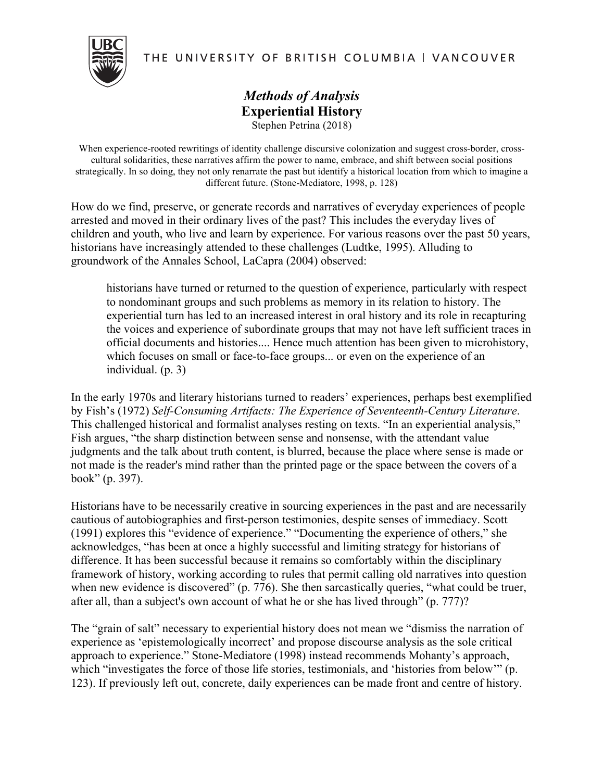THE UNIVERSITY OF BRITISH COLUMBIA | VANCOUVER



*Methods of Analysis* **Experiential History** Stephen Petrina (2018)

When experience-rooted rewritings of identity challenge discursive colonization and suggest cross-border, crosscultural solidarities, these narratives affirm the power to name, embrace, and shift between social positions strategically. In so doing, they not only renarrate the past but identify a historical location from which to imagine a different future. (Stone-Mediatore, 1998, p. 128)

How do we find, preserve, or generate records and narratives of everyday experiences of people arrested and moved in their ordinary lives of the past? This includes the everyday lives of children and youth, who live and learn by experience. For various reasons over the past 50 years, historians have increasingly attended to these challenges (Ludtke, 1995). Alluding to groundwork of the Annales School, LaCapra (2004) observed:

historians have turned or returned to the question of experience, particularly with respect to nondominant groups and such problems as memory in its relation to history. The experiential turn has led to an increased interest in oral history and its role in recapturing the voices and experience of subordinate groups that may not have left sufficient traces in official documents and histories.... Hence much attention has been given to microhistory, which focuses on small or face-to-face groups... or even on the experience of an individual. (p. 3)

In the early 1970s and literary historians turned to readers' experiences, perhaps best exemplified by Fish's (1972) *Self-Consuming Artifacts: The Experience of Seventeenth-Century Literature*. This challenged historical and formalist analyses resting on texts. "In an experiential analysis," Fish argues, "the sharp distinction between sense and nonsense, with the attendant value judgments and the talk about truth content, is blurred, because the place where sense is made or not made is the reader's mind rather than the printed page or the space between the covers of a book" (p. 397).

Historians have to be necessarily creative in sourcing experiences in the past and are necessarily cautious of autobiographies and first-person testimonies, despite senses of immediacy. Scott (1991) explores this "evidence of experience." "Documenting the experience of others," she acknowledges, "has been at once a highly successful and limiting strategy for historians of difference. It has been successful because it remains so comfortably within the disciplinary framework of history, working according to rules that permit calling old narratives into question when new evidence is discovered" (p. 776). She then sarcastically queries, "what could be truer, after all, than a subject's own account of what he or she has lived through" (p. 777)?

The "grain of salt" necessary to experiential history does not mean we "dismiss the narration of experience as 'epistemologically incorrect' and propose discourse analysis as the sole critical approach to experience." Stone-Mediatore (1998) instead recommends Mohanty's approach, which "investigates the force of those life stories, testimonials, and 'histories from below'" (p. 123). If previously left out, concrete, daily experiences can be made front and centre of history.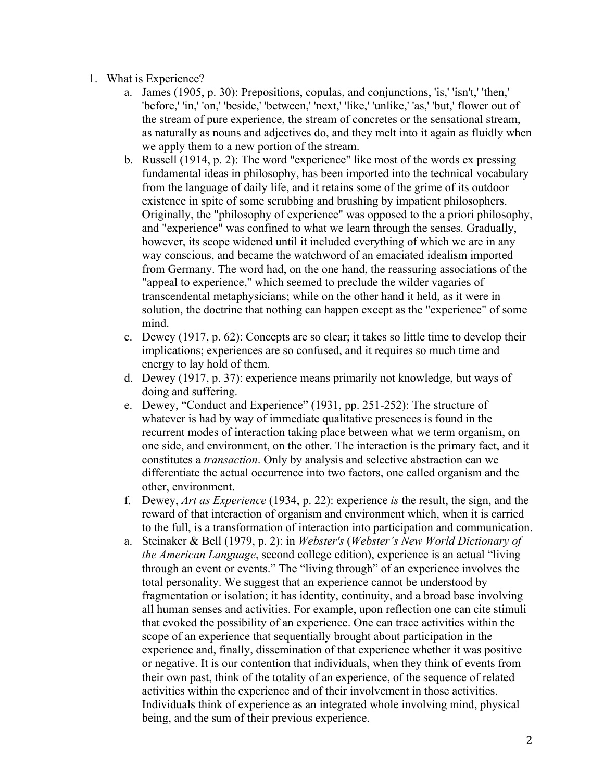- 1. What is Experience?
	- a. James (1905, p. 30): Prepositions, copulas, and conjunctions, 'is,' 'isn't,' 'then,' 'before,' 'in,' 'on,' 'beside,' 'between,' 'next,' 'like,' 'unlike,' 'as,' 'but,' flower out of the stream of pure experience, the stream of concretes or the sensational stream, as naturally as nouns and adjectives do, and they melt into it again as fluidly when we apply them to a new portion of the stream.
	- b. Russell (1914, p. 2): The word "experience" like most of the words ex pressing fundamental ideas in philosophy, has been imported into the technical vocabulary from the language of daily life, and it retains some of the grime of its outdoor existence in spite of some scrubbing and brushing by impatient philosophers. Originally, the "philosophy of experience" was opposed to the a priori philosophy, and "experience" was confined to what we learn through the senses. Gradually, however, its scope widened until it included everything of which we are in any way conscious, and became the watchword of an emaciated idealism imported from Germany. The word had, on the one hand, the reassuring associations of the "appeal to experience," which seemed to preclude the wilder vagaries of transcendental metaphysicians; while on the other hand it held, as it were in solution, the doctrine that nothing can happen except as the "experience" of some mind.
	- c. Dewey (1917, p. 62): Concepts are so clear; it takes so little time to develop their implications; experiences are so confused, and it requires so much time and energy to lay hold of them.
	- d. Dewey (1917, p. 37): experience means primarily not knowledge, but ways of doing and suffering.
	- e. Dewey, "Conduct and Experience" (1931, pp. 251-252): The structure of whatever is had by way of immediate qualitative presences is found in the recurrent modes of interaction taking place between what we term organism, on one side, and environment, on the other. The interaction is the primary fact, and it constitutes a *transaction*. Only by analysis and selective abstraction can we differentiate the actual occurrence into two factors, one called organism and the other, environment.
	- f. Dewey, *Art as Experience* (1934, p. 22): experience *is* the result, the sign, and the reward of that interaction of organism and environment which, when it is carried to the full, is a transformation of interaction into participation and communication.
	- a. Steinaker & Bell (1979, p. 2): in *Webster's* (*Webster's New World Dictionary of the American Language*, second college edition), experience is an actual "living through an event or events." The "living through" of an experience involves the total personality. We suggest that an experience cannot be understood by fragmentation or isolation; it has identity, continuity, and a broad base involving all human senses and activities. For example, upon reflection one can cite stimuli that evoked the possibility of an experience. One can trace activities within the scope of an experience that sequentially brought about participation in the experience and, finally, dissemination of that experience whether it was positive or negative. It is our contention that individuals, when they think of events from their own past, think of the totality of an experience, of the sequence of related activities within the experience and of their involvement in those activities. Individuals think of experience as an integrated whole involving mind, physical being, and the sum of their previous experience.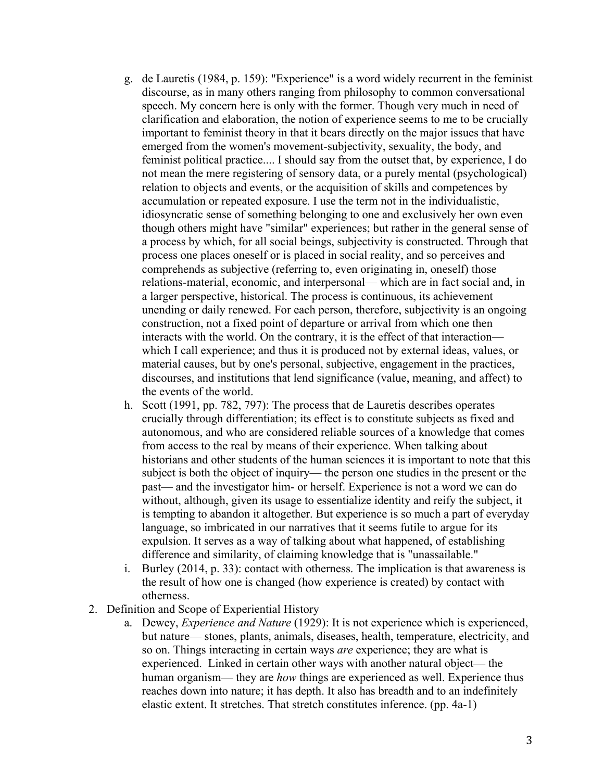- g. de Lauretis (1984, p. 159): "Experience" is a word widely recurrent in the feminist discourse, as in many others ranging from philosophy to common conversational speech. My concern here is only with the former. Though very much in need of clarification and elaboration, the notion of experience seems to me to be crucially important to feminist theory in that it bears directly on the major issues that have emerged from the women's movement-subjectivity, sexuality, the body, and feminist political practice.... I should say from the outset that, by experience, I do not mean the mere registering of sensory data, or a purely mental (psychological) relation to objects and events, or the acquisition of skills and competences by accumulation or repeated exposure. I use the term not in the individualistic, idiosyncratic sense of something belonging to one and exclusively her own even though others might have "similar" experiences; but rather in the general sense of a process by which, for all social beings, subjectivity is constructed. Through that process one places oneself or is placed in social reality, and so perceives and comprehends as subjective (referring to, even originating in, oneself) those relations-material, economic, and interpersonal— which are in fact social and, in a larger perspective, historical. The process is continuous, its achievement unending or daily renewed. For each person, therefore, subjectivity is an ongoing construction, not a fixed point of departure or arrival from which one then interacts with the world. On the contrary, it is the effect of that interaction which I call experience; and thus it is produced not by external ideas, values, or material causes, but by one's personal, subjective, engagement in the practices, discourses, and institutions that lend significance (value, meaning, and affect) to the events of the world.
- h. Scott (1991, pp. 782, 797): The process that de Lauretis describes operates crucially through differentiation; its effect is to constitute subjects as fixed and autonomous, and who are considered reliable sources of a knowledge that comes from access to the real by means of their experience. When talking about historians and other students of the human sciences it is important to note that this subject is both the object of inquiry— the person one studies in the present or the past— and the investigator him- or herself. Experience is not a word we can do without, although, given its usage to essentialize identity and reify the subject, it is tempting to abandon it altogether. But experience is so much a part of everyday language, so imbricated in our narratives that it seems futile to argue for its expulsion. It serves as a way of talking about what happened, of establishing difference and similarity, of claiming knowledge that is "unassailable."
- i. Burley (2014, p. 33): contact with otherness. The implication is that awareness is the result of how one is changed (how experience is created) by contact with otherness.
- 2. Definition and Scope of Experiential History
	- a. Dewey, *Experience and Nature* (1929): It is not experience which is experienced, but nature— stones, plants, animals, diseases, health, temperature, electricity, and so on. Things interacting in certain ways *are* experience; they are what is experienced. Linked in certain other ways with another natural object— the human organism— they are *how* things are experienced as well. Experience thus reaches down into nature; it has depth. It also has breadth and to an indefinitely elastic extent. It stretches. That stretch constitutes inference. (pp. 4a-1)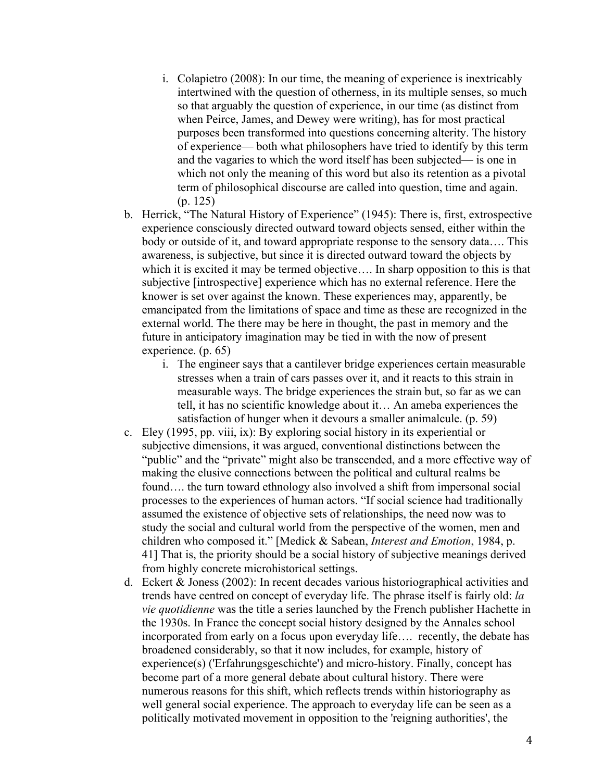- i. Colapietro (2008): In our time, the meaning of experience is inextricably intertwined with the question of otherness, in its multiple senses, so much so that arguably the question of experience, in our time (as distinct from when Peirce, James, and Dewey were writing), has for most practical purposes been transformed into questions concerning alterity. The history of experience— both what philosophers have tried to identify by this term and the vagaries to which the word itself has been subjected— is one in which not only the meaning of this word but also its retention as a pivotal term of philosophical discourse are called into question, time and again. (p. 125)
- b. Herrick, "The Natural History of Experience" (1945): There is, first, extrospective experience consciously directed outward toward objects sensed, either within the body or outside of it, and toward appropriate response to the sensory data.... This awareness, is subjective, but since it is directed outward toward the objects by which it is excited it may be termed objective…. In sharp opposition to this is that subjective [introspective] experience which has no external reference. Here the knower is set over against the known. These experiences may, apparently, be emancipated from the limitations of space and time as these are recognized in the external world. The there may be here in thought, the past in memory and the future in anticipatory imagination may be tied in with the now of present experience. (p. 65)
	- i. The engineer says that a cantilever bridge experiences certain measurable stresses when a train of cars passes over it, and it reacts to this strain in measurable ways. The bridge experiences the strain but, so far as we can tell, it has no scientific knowledge about it… An ameba experiences the satisfaction of hunger when it devours a smaller animalcule. (p. 59)
- c. Eley (1995, pp. viii, ix): By exploring social history in its experiential or subjective dimensions, it was argued, conventional distinctions between the "public" and the "private" might also be transcended, and a more effective way of making the elusive connections between the political and cultural realms be found.... the turn toward ethnology also involved a shift from impersonal social processes to the experiences of human actors. "If social science had traditionally assumed the existence of objective sets of relationships, the need now was to study the social and cultural world from the perspective of the women, men and children who composed it." [Medick & Sabean, *Interest and Emotion*, 1984, p. 41] That is, the priority should be a social history of subjective meanings derived from highly concrete microhistorical settings.
- d. Eckert & Joness (2002): In recent decades various historiographical activities and trends have centred on concept of everyday life. The phrase itself is fairly old: *la vie quotidienne* was the title a series launched by the French publisher Hachette in the 1930s. In France the concept social history designed by the Annales school incorporated from early on a focus upon everyday life…. recently, the debate has broadened considerably, so that it now includes, for example, history of experience(s) ('Erfahrungsgeschichte') and micro-history. Finally, concept has become part of a more general debate about cultural history. There were numerous reasons for this shift, which reflects trends within historiography as well general social experience. The approach to everyday life can be seen as a politically motivated movement in opposition to the 'reigning authorities', the